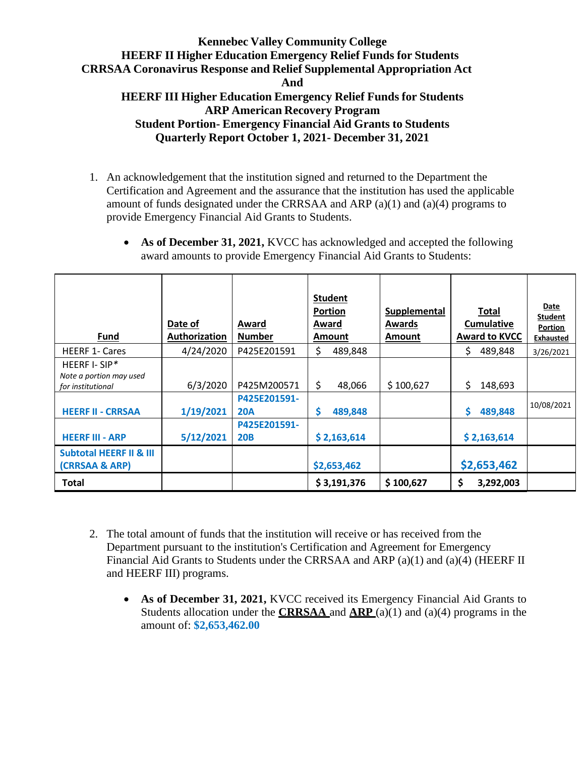**Quarterly Report October 1, 2021- December 31, 2021**

1. An acknowledgement that the institution signed and returned to the Department the Certification and Agreement and the assurance that the institution has used the applicable amount of funds designated under the CRRSAA and ARP (a)(1) and (a)(4) programs to provide Emergency Financial Aid Grants to Students.

| As of December 31, 2021, KVCC has acknowledged and accepted the following |
|---------------------------------------------------------------------------|
| award amounts to provide Emergency Financial Aid Grants to Students:      |

| <b>Fund</b>                                                   | Date of<br><b>Authorization</b> | Award<br><b>Number</b>     | <b>Student</b><br><b>Portion</b><br>Award<br>Amount | <b>Supplemental</b><br>Awards<br>Amount | <b>Total</b><br><b>Cumulative</b><br><b>Award to KVCC</b> | <b>Date</b><br><b>Student</b><br>Portion<br><b>Exhausted</b> |
|---------------------------------------------------------------|---------------------------------|----------------------------|-----------------------------------------------------|-----------------------------------------|-----------------------------------------------------------|--------------------------------------------------------------|
| <b>HEERF 1- Cares</b>                                         | 4/24/2020                       | P425E201591                | \$<br>489,848                                       |                                         | \$<br>489,848                                             | 3/26/2021                                                    |
| HEERF I- SIP*<br>Note a portion may used<br>for institutional | 6/3/2020                        | P425M200571                | \$<br>48,066                                        | \$100,627                               | \$<br>148,693                                             |                                                              |
| <b>HEERF II - CRRSAA</b>                                      | 1/19/2021                       | P425E201591-<br><b>20A</b> | \$<br>489,848                                       |                                         | \$<br>489,848                                             | 10/08/2021                                                   |
| <b>HEERF III - ARP</b>                                        | 5/12/2021                       | P425E201591-<br><b>20B</b> | \$2,163,614                                         |                                         | \$2,163,614                                               |                                                              |
| <b>Subtotal HEERF II &amp; III</b><br>(CRRSAA & ARP)          |                                 |                            | \$2,653,462                                         |                                         | \$2,653,462                                               |                                                              |
| <b>Total</b>                                                  |                                 |                            | \$3,191,376                                         | \$100,627                               | \$<br>3,292,003                                           |                                                              |

- 2. The total amount of funds that the institution will receive or has received from the Department pursuant to the institution's Certification and Agreement for Emergency Financial Aid Grants to Students under the CRRSAA and ARP (a)(1) and (a)(4) (HEERF II and HEERF III) programs.
	- **As of December 31, 2021,** KVCC received its Emergency Financial Aid Grants to Students allocation under the **CRRSAA** and **ARP** (a)(1) and (a)(4) programs in the amount of: **\$2,653,462.00**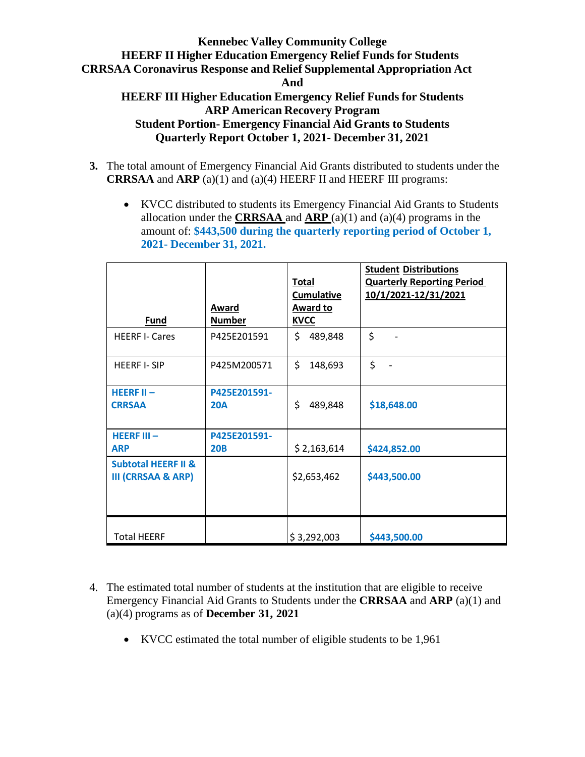## **Kennebec Valley Community College HEERF II Higher Education Emergency Relief Funds for Students CRRSAA Coronavirus Response and Relief Supplemental Appropriation Act And HEERF III Higher Education Emergency Relief Funds for Students ARP American Recovery Program**

**Student Portion- Emergency Financial Aid Grants to Students Quarterly Report October 1, 2021- December 31, 2021**

- **3.** The total amount of Emergency Financial Aid Grants distributed to students under the **CRRSAA** and **ARP** (a)(1) and (a)(4) HEERF II and HEERF III programs:
	- KVCC distributed to students its Emergency Financial Aid Grants to Students allocation under the **CRRSAA** and **ARP** (a)(1) and (a)(4) programs in the amount of: **\$443,500 during the quarterly reporting period of October 1, 2021- December 31, 2021.**

|                                                                 | Award         | <b>Total</b><br><b>Cumulative</b><br><b>Award to</b> | <b>Student Distributions</b><br><b>Quarterly Reporting Period</b><br>10/1/2021-12/31/2021 |
|-----------------------------------------------------------------|---------------|------------------------------------------------------|-------------------------------------------------------------------------------------------|
| <b>Fund</b>                                                     | <b>Number</b> | <b>KVCC</b>                                          |                                                                                           |
| <b>HEERF I- Cares</b>                                           | P425E201591   | \$<br>489,848                                        | \$                                                                                        |
| <b>HEERF I-SIP</b>                                              | P425M200571   | \$<br>148,693                                        | \$                                                                                        |
| HEERF $II -$                                                    | P425E201591-  |                                                      |                                                                                           |
| <b>CRRSAA</b>                                                   | <b>20A</b>    | \$<br>489,848                                        | \$18,648.00                                                                               |
| <b>HEERF III-</b>                                               | P425E201591-  |                                                      |                                                                                           |
| <b>ARP</b>                                                      | <b>20B</b>    | \$2,163,614                                          | \$424,852.00                                                                              |
| <b>Subtotal HEERF II &amp;</b><br><b>III (CRRSAA &amp; ARP)</b> |               | \$2,653,462                                          | \$443,500.00                                                                              |
| <b>Total HEERF</b>                                              |               | \$3,292,003                                          | \$443,500.00                                                                              |

- 4. The estimated total number of students at the institution that are eligible to receive Emergency Financial Aid Grants to Students under the **CRRSAA** and **ARP** (a)(1) and (a)(4) programs as of **December 31, 2021**
	- KVCC estimated the total number of eligible students to be 1,961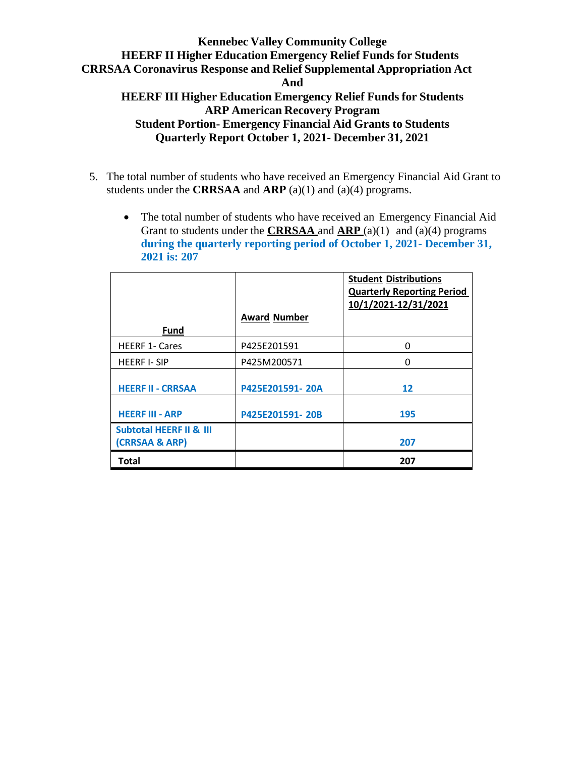# **Kennebec Valley Community College HEERF II Higher Education Emergency Relief Funds for Students CRRSAA Coronavirus Response and Relief Supplemental Appropriation Act And HEERF III Higher Education Emergency Relief Funds for Students ARP American Recovery Program**

**Student Portion- Emergency Financial Aid Grants to Students Quarterly Report October 1, 2021- December 31, 2021**

- 5. The total number of students who have received an Emergency Financial Aid Grant to students under the **CRRSAA** and **ARP** (a)(1) and (a)(4) programs.
	- The total number of students who have received an Emergency Financial Aid Grant to students under the **CRRSAA** and **ARP** (a)(1) and (a)(4) programs **during the quarterly reporting period of October 1, 2021- December 31, 2021 is: 207**

|                                                      |                     | <b>Student Distributions</b><br><b>Quarterly Reporting Period</b><br>10/1/2021-12/31/2021 |
|------------------------------------------------------|---------------------|-------------------------------------------------------------------------------------------|
|                                                      | <b>Award Number</b> |                                                                                           |
| Fund                                                 |                     |                                                                                           |
| <b>HEERF 1- Cares</b>                                | P425E201591         | 0                                                                                         |
| <b>HEERF I-SIP</b>                                   | P425M200571         | O                                                                                         |
| <b>HEERF II - CRRSAA</b>                             | P425E201591-20A     | 12                                                                                        |
| <b>HEERF III - ARP</b>                               | P425E201591-20B     | 195                                                                                       |
| <b>Subtotal HEERF II &amp; III</b><br>(CRRSAA & ARP) |                     | 207                                                                                       |
| <b>Total</b>                                         |                     | 207                                                                                       |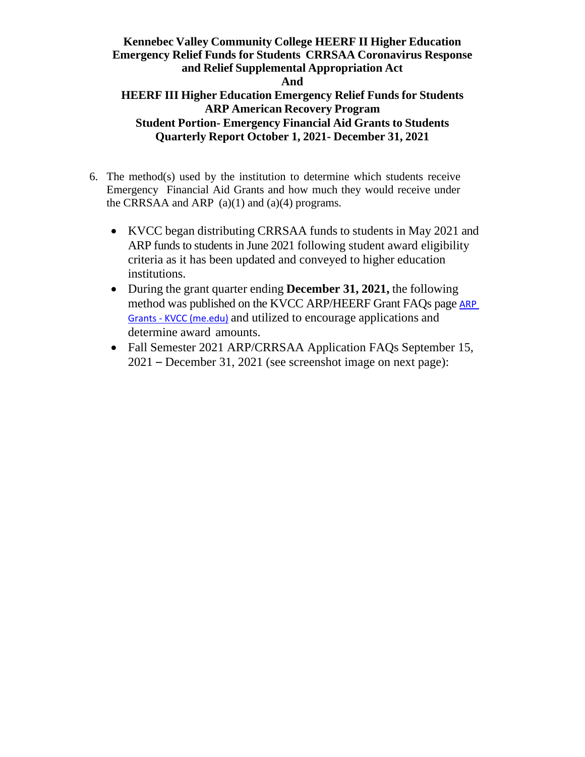# **Kennebec Valley Community College HEERF II Higher Education Emergency Relief Funds for Students CRRSAA Coronavirus Response and Relief Supplemental Appropriation Act And**

### **HEERF III Higher Education Emergency Relief Funds for Students ARP American Recovery Program Student Portion- Emergency Financial Aid Grants to Students Quarterly Report October 1, 2021- December 31, 2021**

- 6. The method(s) used by the institution to determine which students receive Emergency Financial Aid Grants and how much they would receive under the CRRSAA and ARP  $(a)(1)$  and  $(a)(4)$  programs.
	- KVCC began distributing CRRSAA funds to students in May 2021 and ARP funds to students in June 2021 following student award eligibility criteria as it has been updated and conveyed to higher education institutions.
	- During the grant quarter ending **December 31, 2021,** the following method was published on the KVCC ARP/HEERF Grant FAQs page **ARP** Grants - [KVCC \(me.edu\)](https://www.kvcc.me.edu/admissions-financial-aid/tuition-aid/aid-programs/arp-grants/) and utilized to encourage applications and determine award amounts.
	- Fall Semester 2021 ARP/CRRSAA Application FAOs September 15, 2021 – December 31, 2021 (see screenshot image on next page):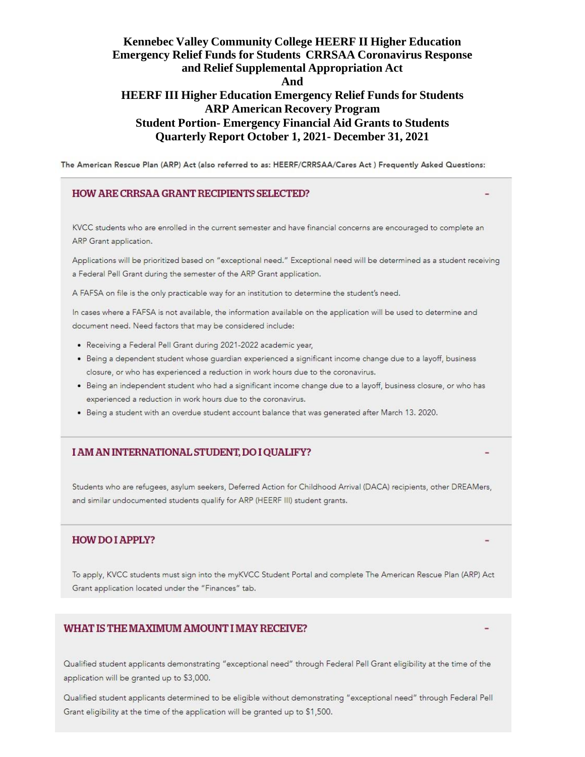The American Rescue Plan (ARP) Act (also referred to as: HEERF/CRRSAA/Cares Act) Frequently Asked Questions:

#### HOW ARE CRRSAA GRANT RECIPIENTS SELECTED?

KVCC students who are enrolled in the current semester and have financial concerns are encouraged to complete an ARP Grant application.

Applications will be prioritized based on "exceptional need." Exceptional need will be determined as a student receiving a Federal Pell Grant during the semester of the ARP Grant application.

A FAFSA on file is the only practicable way for an institution to determine the student's need.

In cases where a FAFSA is not available, the information available on the application will be used to determine and document need. Need factors that may be considered include:

- · Receiving a Federal Pell Grant during 2021-2022 academic year,
- · Being a dependent student whose guardian experienced a significant income change due to a layoff, business closure, or who has experienced a reduction in work hours due to the coronavirus.
- Being an independent student who had a significant income change due to a layoff, business closure, or who has experienced a reduction in work hours due to the coronavirus.
- . Being a student with an overdue student account balance that was generated after March 13. 2020.

#### I AM AN INTERNATIONAL STUDENT, DO I QUALIFY?

Students who are refugees, asylum seekers, Deferred Action for Childhood Arrival (DACA) recipients, other DREAMers, and similar undocumented students qualify for ARP (HEERF III) student grants.

#### **HOW DO I APPLY?**

To apply, KVCC students must sign into the myKVCC Student Portal and complete The American Rescue Plan (ARP) Act Grant application located under the "Finances" tab.

#### WHAT IS THE MAXIMUM AMOUNT I MAY RECEIVE?

Qualified student applicants demonstrating "exceptional need" through Federal Pell Grant eligibility at the time of the application will be granted up to \$3,000.

Qualified student applicants determined to be eligible without demonstrating "exceptional need" through Federal Pell Grant eligibility at the time of the application will be granted up to \$1,500.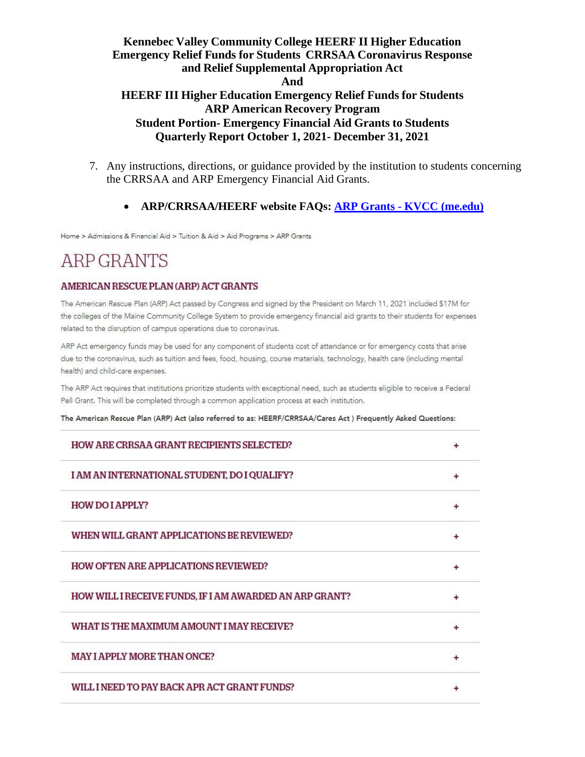- 7. Any instructions, directions, or guidance provided by the institution to students concerning the CRRSAA and ARP Emergency Financial Aid Grants.
	- **ARP/CRRSAA/HEERF website FAQs: ARP Grants - KVCC [\(me.edu\)](https://www.kvcc.me.edu/admissions-financial-aid/tuition-aid/aid-programs/arp-grants/)**

Home > Admissions & Financial Aid > Tuition & Aid > Aid Programs > ARP Grants

# **ARP GRANTS**

#### AMERICAN RESCUE PLAN (ARP) ACT GRANTS

The American Rescue Plan (ARP) Act passed by Congress and signed by the President on March 11, 2021 included \$17M for the colleges of the Maine Community College System to provide emergency financial aid grants to their students for expenses related to the disruption of campus operations due to coronavirus.

ARP Act emergency funds may be used for any component of students cost of attendance or for emergency costs that arise due to the coronavirus, such as tuition and fees, food, housing, course materials, technology, health care (including mental health) and child-care expenses.

The ARP Act requires that institutions prioritize students with exceptional need, such as students eligible to receive a Federal Pell Grant. This will be completed through a common application process at each institution.

The American Rescue Plan (ARP) Act (also referred to as: HEERF/CRRSAA/Cares Act ) Frequently Asked Questions:

| <b>HOW ARE CRRSAA GRANT RECIPIENTS SELECTED?</b>        |  |
|---------------------------------------------------------|--|
| I AM AN INTERNATIONAL STUDENT, DO I QUALIFY?            |  |
| <b>HOW DO I APPLY?</b>                                  |  |
| WHEN WILL GRANT APPLICATIONS BE REVIEWED?               |  |
| <b>HOW OFTEN ARE APPLICATIONS REVIEWED?</b>             |  |
| HOW WILL I RECEIVE FUNDS, IF I AM AWARDED AN ARP GRANT? |  |
| WHAT IS THE MAXIMUM AMOUNT I MAY RECEIVE?               |  |
| <b>MAY I APPLY MORE THAN ONCE?</b>                      |  |
| WILL I NEED TO PAY BACK APR ACT GRANT FUNDS?            |  |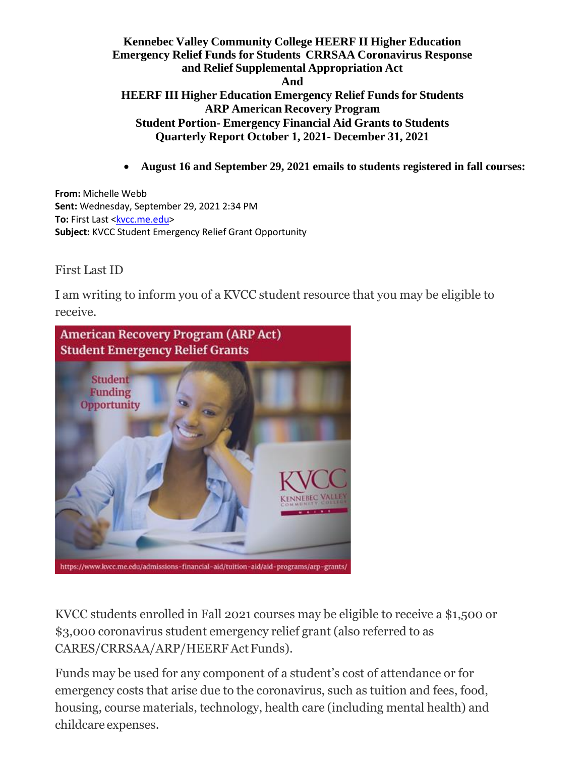• **August 16 and September 29, 2021 emails to students registered in fall courses:**

**From:** Michelle Webb **Sent:** Wednesday, September 29, 2021 2:34 PM **To:** First Last [<kvcc.me.edu>](mailto:LaFlamme.Justin@kvcc.me.edu) **Subject:** KVCC Student Emergency Relief Grant Opportunity

First Last ID

I am writing to inform you of a KVCC student resource that you may be eligible to receive.



KVCC students enrolled in Fall 2021 courses may be eligible to receive a \$1,500 or \$3,000 coronavirus student emergency relief grant (also referred to as CARES/CRRSAA/ARP/HEERFAct Funds).

Funds may be used for any component of a student's cost of attendance or for emergency costs that arise due to the coronavirus, such as tuition and fees, food, housing, course materials, technology, health care (including mental health) and childcare expenses.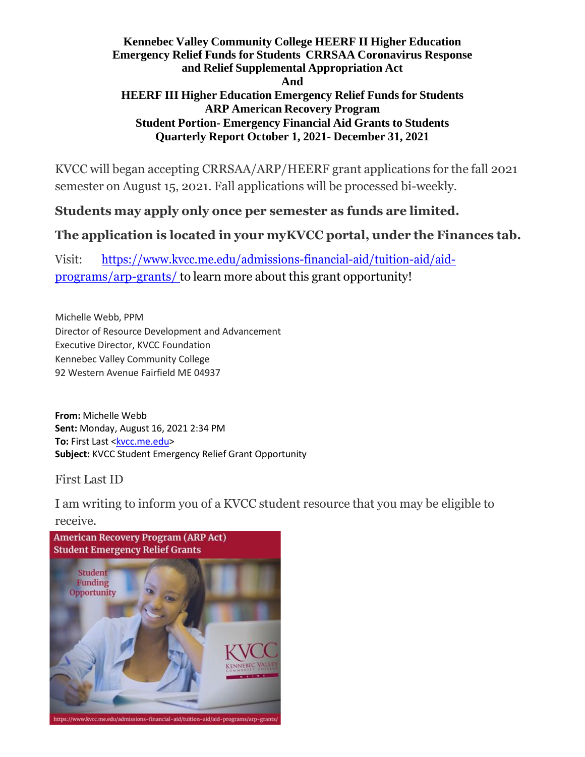KVCC will began accepting CRRSAA/ARP/HEERF grant applications for the fall 2021 semester on August 15, 2021. Fall applications will be processed bi-weekly.

# **Students may apply only once per semester as funds are limited.**

# **The application is located in your myKVCC portal, under the Finances tab.**

Visit: [https://www.kvcc.me.edu/admissions-financial-aid/tuition-aid/aid](https://nam11.safelinks.protection.outlook.com/?url=https%3A%2F%2Fwww.kvcc.me.edu%2Fadmissions-financial-aid%2Ftuition-aid%2Faid-programs%2Farp-grants%2F&data=04%7C01%7CMWebb%40kvcc.me.edu%7C1b55a2a6b74f4291b63e08d93657e14d%7C25eb78d160a04eb4aa539f80c186b3e5%7C0%7C0%7C637600573329261034%7CUnknown%7CTWFpbGZsb3d8eyJWIjoiMC4wLjAwMDAiLCJQIjoiV2luMzIiLCJBTiI6Ik1haWwiLCJXVCI6Mn0%3D%7C1000&sdata=iHvccLga1oKagOGAfswO19FbDnjpqMlIBY1gQ3JgQqg%3D&reserved=0)[programs/arp-grants/](https://nam11.safelinks.protection.outlook.com/?url=https%3A%2F%2Fwww.kvcc.me.edu%2Fadmissions-financial-aid%2Ftuition-aid%2Faid-programs%2Farp-grants%2F&data=04%7C01%7CMWebb%40kvcc.me.edu%7C1b55a2a6b74f4291b63e08d93657e14d%7C25eb78d160a04eb4aa539f80c186b3e5%7C0%7C0%7C637600573329261034%7CUnknown%7CTWFpbGZsb3d8eyJWIjoiMC4wLjAwMDAiLCJQIjoiV2luMzIiLCJBTiI6Ik1haWwiLCJXVCI6Mn0%3D%7C1000&sdata=iHvccLga1oKagOGAfswO19FbDnjpqMlIBY1gQ3JgQqg%3D&reserved=0) to learn more about this grant opportunity!

Michelle Webb, PPM Director of Resource Development and Advancement Executive Director, KVCC Foundation Kennebec Valley Community College 92 Western Avenue Fairfield ME 04937

**From:** Michelle Webb **Sent:** Monday, August 16, 2021 2:34 PM **To:** First Last [<kvcc.me.edu>](mailto:LaFlamme.Justin@kvcc.me.edu) **Subject:** KVCC Student Emergency Relief Grant Opportunity

First Last ID

I am writing to inform you of a KVCC student resource that you may be eligible to receive.